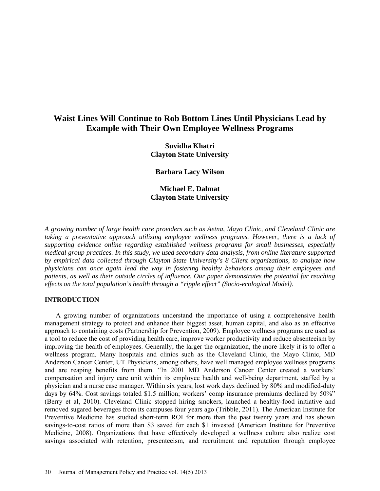# **Waist Lines Will Continue to Rob Bottom Lines Until Physicians Lead by Example with Their Own Employee Wellness Programs**

**Suvidha Khatri Clayton State University** 

**Barbara Lacy Wilson** 

# **Michael E. Dalmat Clayton State University**

*A growing number of large health care providers such as Aetna, Mayo Clinic, and Cleveland Clinic are taking a preventative approach utilizing employee wellness programs. However, there is a lack of supporting evidence online regarding established wellness programs for small businesses, especially medical group practices. In this study, we used secondary data analysis, from online literature supported by empirical data collected through Clayton State University's 8 Client organizations, to analyze how physicians can once again lead the way in fostering healthy behaviors among their employees and patients, as well as their outside circles of influence. Our paper demonstrates the potential far reaching effects on the total population's health through a "ripple effect" (Socio-ecological Model).*

# **INTRODUCTION**

A growing number of organizations understand the importance of using a comprehensive health management strategy to protect and enhance their biggest asset, human capital, and also as an effective approach to containing costs (Partnership for Prevention, 2009). Employee wellness programs are used as a tool to reduce the cost of providing health care, improve worker productivity and reduce absenteeism by improving the health of employees. Generally, the larger the organization, the more likely it is to offer a wellness program. Many hospitals and clinics such as the Cleveland Clinic, the Mayo Clinic, MD Anderson Cancer Center, UT Physicians, among others, have well managed employee wellness programs and are reaping benefits from them. "In 2001 MD Anderson Cancer Center created a workers' compensation and injury care unit within its employee health and well-being department, staffed by a physician and a nurse case manager. Within six years, lost work days declined by 80% and modified-duty days by 64%. Cost savings totaled \$1.5 million; workers' comp insurance premiums declined by 50%" (Berry et al, 2010). Cleveland Clinic stopped hiring smokers, launched a healthy-food initiative and removed sugared beverages from its campuses four years ago (Tribble, 2011). The American Institute for Preventive Medicine has studied short-term ROI for more than the past twenty years and has shown savings-to-cost ratios of more than \$3 saved for each \$1 invested (American Institute for Preventive Medicine, 2008). Organizations that have effectively developed a wellness culture also realize cost savings associated with retention, presenteeism, and recruitment and reputation through employee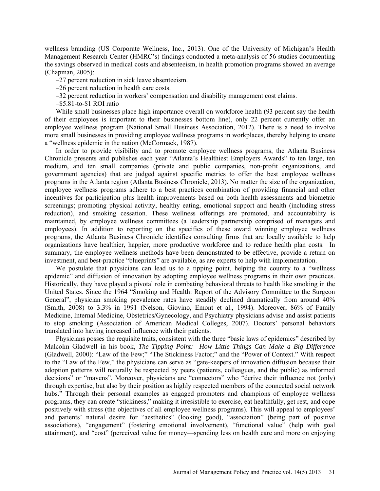wellness branding (US Corporate Wellness, Inc., 2013). One of the University of Michigan's Health Management Research Center (HMRC's) findings conducted a meta-analysis of 56 studies documenting the savings observed in medical costs and absenteeism, in health promotion programs showed an average (Chapman, 2005):

–27 percent reduction in sick leave absenteeism.

–26 percent reduction in health care costs.

–32 percent reduction in workers' compensation and disability management cost claims.

–\$5.81-to-\$1 ROI ratio

While small businesses place high importance overall on workforce health (93 percent say the health of their employees is important to their businesses bottom line), only 22 percent currently offer an employee wellness program (National Small Business Association, 2012). There is a need to involve more small businesses in providing employee wellness programs in workplaces, thereby helping to create a "wellness epidemic in the nation (McCormack, 1987).

In order to provide visibility and to promote employee wellness programs, the Atlanta Business Chronicle presents and publishes each year "Atlanta's Healthiest Employers Awards" to ten large, ten medium, and ten small companies (private and public companies, non-profit organizations, and government agencies) that are judged against specific metrics to offer the best employee wellness programs in the Atlanta region (Atlanta Business Chronicle, 2013). No matter the size of the organization, employee wellness programs adhere to a best practices combination of providing financial and other incentives for participation plus health improvements based on both health assessments and biometric screenings; promoting physical activity, healthy eating, emotional support and health (including stress reduction), and smoking cessation. These wellness offerings are promoted, and accountability is maintained, by employee wellness committees (a leadership partnership comprised of managers and employees). In addition to reporting on the specifics of these award winning employee wellness programs, the Atlanta Business Chronicle identifies consulting firms that are locally available to help organizations have healthier, happier, more productive workforce and to reduce health plan costs. In summary, the employee wellness methods have been demonstrated to be effective, provide a return on investment, and best-practice "blueprints" are available, as are experts to help with implementation.

We postulate that physicians can lead us to a tipping point, helping the country to a "wellness" epidemic" and diffusion of innovation by adopting employee wellness programs in their own practices. Historically, they have played a pivotal role in combating behavioral threats to health like smoking in the United States. Since the 1964 "Smoking and Health: Report of the Advisory Committee to the Surgeon General", physician smoking prevalence rates have steadily declined dramatically from around 40% (Smith, 2008) to 3.3% in 1991 (Nelson, Giovino, Emont et al., 1994). Moreover, 86% of Family Medicine, Internal Medicine, Obstetrics/Gynecology, and Psychiatry physicians advise and assist patients to stop smoking (Association of American Medical Colleges, 2007). Doctors' personal behaviors translated into having increased influence with their patients.

Physicians posses the requisite traits, consistent with the three "basic laws of epidemics" described by Malcolm Gladwell in his book, *The Tipping Point: How Little Things Can Make a Big Difference* (Gladwell, 2000): "Law of the Few;" "The Stickiness Factor;" and the "Power of Context." With respect to the "Law of the Few," the physicians can serve as "gate-keepers of innovation diffusion because their adoption patterns will naturally be respected by peers (patients, colleagues, and the public) as informed decisions" or "mavens". Moreover, physicians are "connectors" who "derive their influence not (only) through expertise, but also by their position as highly respected members of the connected social network hubs." Through their personal examples as engaged promoters and champions of employee wellness programs, they can create "stickiness," making it irresistible to exercise, eat healthfully, get rest, and cope positively with stress (the objectives of all employee wellness programs). This will appeal to employees' and patients' natural desire for "aesthetics" (looking good), "association" (being part of positive associations), "engagement" (fostering emotional involvement), "functional value" (help with goal attainment), and "cost" (perceived value for money—spending less on health care and more on enjoying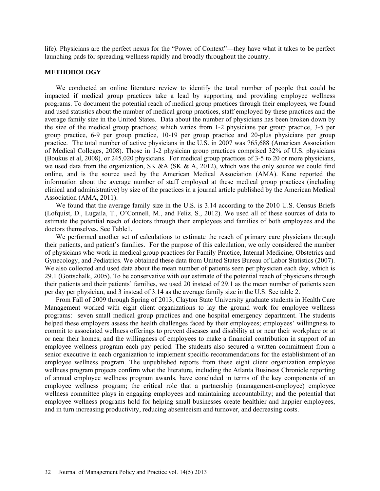life). Physicians are the perfect nexus for the "Power of Context"—they have what it takes to be perfect launching pads for spreading wellness rapidly and broadly throughout the country.

#### **METHODOLOGY**

We conducted an online literature review to identify the total number of people that could be impacted if medical group practices take a lead by supporting and providing employee wellness programs. To document the potential reach of medical group practices through their employees, we found and used statistics about the number of medical group practices, staff employed by these practices and the average family size in the United States. Data about the number of physicians has been broken down by the size of the medical group practices; which varies from 1-2 physicians per group practice, 3-5 per group practice, 6-9 per group practice, 10-19 per group practice and 20-plus physicians per group practice. The total number of active physicians in the U.S. in 2007 was 765,688 (American Association of Medical Colleges, 2008). Those in 1-2 physician group practices comprised 32% of U.S. physicians (Boukus et al, 2008), or 245,020 physicians. For medical group practices of 3-5 to 20 or more physicians, we used data from the organization, SK &A (SK  $\&$  A, 2012), which was the only source we could find online, and is the source used by the American Medical Association (AMA). Kane reported the information about the average number of staff employed at these medical group practices (including clinical and administrative) by size of the practices in a journal article published by the American Medical Association (AMA, 2011).

We found that the average family size in the U.S. is 3.14 according to the 2010 U.S. Census Briefs (Lofquist, D., Lugaila, T., O'Connell, M., and Feliz. S., 2012). We used all of these sources of data to estimate the potential reach of doctors through their employees and families of both employees and the doctors themselves. See Table1.

We performed another set of calculations to estimate the reach of primary care physicians through their patients, and patient's families. For the purpose of this calculation, we only considered the number of physicians who work in medical group practices for Family Practice, Internal Medicine, Obstetrics and Gynecology, and Pediatrics. We obtained these data from United States Bureau of Labor Statistics (2007). We also collected and used data about the mean number of patients seen per physician each day, which is 29.1 (Gottschalk, 2005). To be conservative with our estimate of the potential reach of physicians through their patients and their patients' families, we used 20 instead of 29.1 as the mean number of patients seen per day per physician, and 3 instead of 3.14 as the average family size in the U.S. See table 2.

From Fall of 2009 through Spring of 2013, Clayton State University graduate students in Health Care Management worked with eight client organizations to lay the ground work for employee wellness programs: seven small medical group practices and one hospital emergency department. The students helped these employers assess the health challenges faced by their employees; employees' willingness to commit to associated wellness offerings to prevent diseases and disability at or near their workplace or at or near their homes; and the willingness of employees to make a financial contribution in support of an employee wellness program each pay period. The students also secured a written commitment from a senior executive in each organization to implement specific recommendations for the establishment of an employee wellness program. The unpublished reports from these eight client organization employee wellness program projects confirm what the literature, including the Atlanta Business Chronicle reporting of annual employee wellness program awards, have concluded in terms of the key components of an employee wellness program; the critical role that a partnership (management-employee) employee wellness committee plays in engaging employees and maintaining accountability; and the potential that employee wellness programs hold for helping small businesses create healthier and happier employees, and in turn increasing productivity, reducing absenteeism and turnover, and decreasing costs.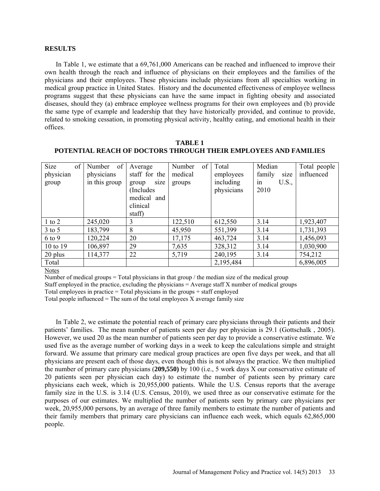#### **RESULTS**

In Table 1, we estimate that a 69,761,000 Americans can be reached and influenced to improve their own health through the reach and influence of physicians on their employees and the families of the physicians and their employees. These physicians include physicians from all specialties working in medical group practice in United States. History and the documented effectiveness of employee wellness programs suggest that these physicians can have the same impact in fighting obesity and associated diseases, should they (a) embrace employee wellness programs for their own employees and (b) provide the same type of example and leadership that they have historically provided, and continue to provide, related to smoking cessation, in promoting physical activity, healthy eating, and emotional health in their offices.

| Size<br>of | of<br>Number  | Average       | of<br>Number | Total      | Median         | Total people |
|------------|---------------|---------------|--------------|------------|----------------|--------------|
| physician  | physicians    | staff for the | medical      | employees  | family<br>size | influenced   |
| group      | in this group | size<br>group | groups       | including  | U.S.,<br>in    |              |
|            |               | (Includes)    |              | physicians | 2010           |              |
|            |               | medical and   |              |            |                |              |
|            |               | clinical      |              |            |                |              |
|            |               | staff)        |              |            |                |              |
| $1$ to $2$ | 245,020       | 3             | 122,510      | 612,550    | 3.14           | 1,923,407    |
| $3$ to $5$ | 183,799       | 8             | 45,950       | 551,399    | 3.14           | 1,731,393    |
| 6 to 9     | 120,224       | 20            | 17,175       | 463,724    | 3.14           | 1,456,093    |
| 10 to 19   | 106,897       | 29            | 7,635        | 328,312    | 3.14           | 1,030,900    |
| 20 plus    | 114,377       | 22            | 5,719        | 240,195    | 3.14           | 754,212      |
| Total      |               |               |              | 2,195,484  |                | 6,896,005    |
|            |               |               |              |            |                |              |

#### **TABLE 1 POTENTIAL REACH OF DOCTORS THROUGH THEIR EMPLOYEES AND FAMILIES**

Notes

Number of medical groups  $=$  Total physicians in that group  $/$  the median size of the medical group

Staff employed in the practice, excluding the physicians = Average staff X number of medical groups

Total employees in practice  $=$  Total physicians in the groups  $+$  staff employed

Total people influenced  $=$  The sum of the total employees  $X$  average family size

In Table 2, we estimate the potential reach of primary care physicians through their patients and their patients' families. The mean number of patients seen per day per physician is 29.1 (Gottschalk , 2005). However, we used 20 as the mean number of patients seen per day to provide a conservative estimate. We used five as the average number of working days in a week to keep the calculations simple and straight forward. We assume that primary care medical group practices are open five days per week, and that all physicians are present each of those days, even though this is not always the practice. We then multiplied the number of primary care physicians (**209,550)** by 100 (i.e., 5 work days X our conservative estimate of 20 patients seen per physician each day) to estimate the number of patients seen by primary care physicians each week, which is 20,955,000 patients. While the U.S. Census reports that the average family size in the U.S. is 3.14 (U.S. Census, 2010), we used three as our conservative estimate for the purposes of our estimates. We multiplied the number of patients seen by primary care physicians per week, 20,955,000 persons, by an average of three family members to estimate the number of patients and their family members that primary care physicians can influence each week, which equals 62,865,000 people.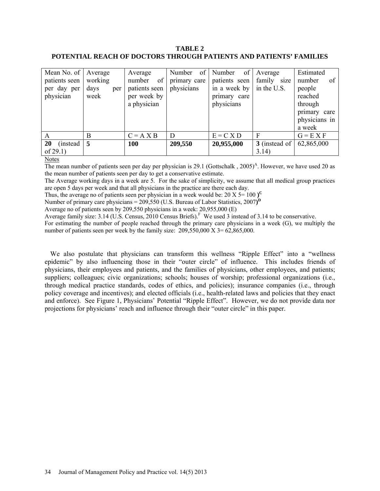# **TABLE 2 POTENTIAL REACH OF DOCTORS THROUGH PATIENTS AND PATIENTS' FAMILIES**

| Mean No. of    | Average     | Average       | of<br>Number | of<br>Number  | Average       | Estimated       |
|----------------|-------------|---------------|--------------|---------------|---------------|-----------------|
| patients seen  | working     | of<br>number  | primary care | patients seen | family size   | of<br>number    |
| per day per    | days<br>per | patients seen | physicians   | in a week by  | in the U.S.   | people          |
| physician      | week        | per week by   |              | primary care  |               | reached         |
|                |             | a physician   |              | physicians    |               | through         |
|                |             |               |              |               |               | primary<br>care |
|                |             |               |              |               |               | physicians in   |
|                |             |               |              |               |               | a week          |
| A              | B           | $C = A X B$   | D            | $E = C X D$   | F             | $G = E X F$     |
| 20<br>(instead | 5           | <b>100</b>    | 209,550      | 20,955,000    | 3 (instead of | 62,865,000      |
| of $29.1$ )    |             |               |              |               | 3.14)         |                 |

**Notes** 

The mean number of patients seen per day per physician is 29.1 (Gottschalk, 2005)<sup>A</sup>. However, we have used 20 as the mean number of patients seen per day to get a conservative estimate.

The Average working days in a week are 5. For the sake of simplicity, we assume that all medical group practices are open 5 days per week and that all physicians in the practice are there each day.

Thus, the average no of patients seen per physician in a week would be: 20 X  $5 = 100$   $)^{\circ}$ 

Number of primary care physicians = 209,550 (U.S. Bureau of Labor Statistics, 2007**) D**

Average no of patients seen by 209,550 physicians in a week: 20,955,000 (E)

Average family size:  $3.14$  (U.S. Census, 2010 Census Briefs). We used 3 instead of  $3.14$  to be conservative.

For estimating the number of people reached through the primary care physicians in a week (G), we multiply the number of patients seen per week by the family size:  $209,550,000 \times 3 = 62,865,000$ .

We also postulate that physicians can transform this wellness "Ripple Effect" into a "wellness" epidemic" by also influencing those in their "outer circle" of influence. This includes friends of physicians, their employees and patients, and the families of physicians, other employees, and patients; suppliers; colleagues; civic organizations; schools; houses of worship; professional organizations (i.e., through medical practice standards, codes of ethics, and policies); insurance companies (i.e., through policy coverage and incentives); and elected officials (i.e., health-related laws and policies that they enact and enforce). See Figure 1, Physicians' Potential "Ripple Effect". However, we do not provide data nor projections for physicians' reach and influence through their "outer circle" in this paper.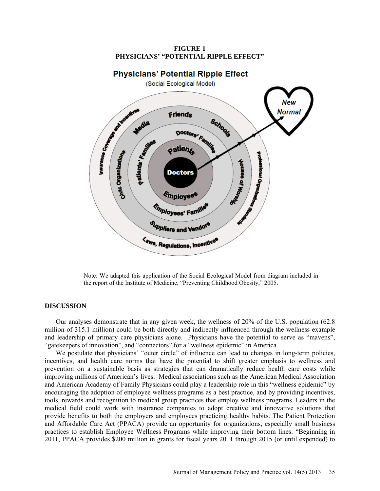**Physicians' Potential Ripple Effect** (Social Ecological Model) **Burlance Co. Second Manufactures New Normal** Friends Schools Media Doctors' Family Patients' Assistance **Patieng** Civic Organization professional Organic **Recogn to easingle Doctors** Employee<sup>s</sup> **Chiployees' Famille** Suppliers and Vendor<sup>4</sup> **Kaws, Regulations, Incentivene** 

**FIGURE 1 PHYSICIANS' "POTENTIAL RIPPLE EFFECT"** 

Note: We adapted this application of the Social Ecological Model from diagram included in the report of the Institute of Medicine, "Preventing Childhood Obesity," 2005.

#### **DISCUSSION**

Our analyses demonstrate that in any given week, the wellness of 20% of the U.S. population (62.8 million of 315.1 million) could be both directly and indirectly influenced through the wellness example and leadership of primary care physicians alone. Physicians have the potential to serve as "mavens", "gatekeepers of innovation", and "connectors" for a "wellness epidemic" in America.

We postulate that physicians' "outer circle" of influence can lead to changes in long-term policies, incentives, and health care norms that have the potential to shift greater emphasis to wellness and prevention on a sustainable basis as strategies that can dramatically reduce health care costs while improving millions of American's lives. Medical associations such as the American Medical Association and American Academy of Family Physicians could play a leadership role in this "wellness epidemic" by encouraging the adoption of employee wellness programs as a best practice, and by providing incentives, tools, rewards and recognition to medical group practices that employ wellness programs. Leaders in the medical field could work with insurance companies to adopt creative and innovative solutions that provide benefits to both the employers and employees practicing healthy habits. The Patient Protection and Affordable Care Act (PPACA) provide an opportunity for organizations, especially small business practices to establish Employee Wellness Programs while improving their bottom lines. "Beginning in 2011, PPACA provides \$200 million in grants for fiscal years 2011 through 2015 (or until expended) to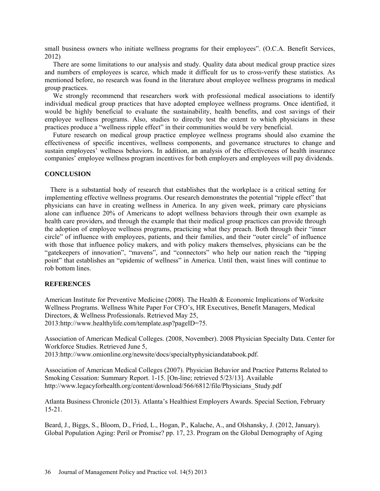small business owners who initiate wellness programs for their employees". (O.C.A. Benefit Services, 2012)

There are some limitations to our analysis and study. Quality data about medical group practice sizes and numbers of employees is scarce, which made it difficult for us to cross-verify these statistics. As mentioned before, no research was found in the literature about employee wellness programs in medical group practices.

We strongly recommend that researchers work with professional medical associations to identify individual medical group practices that have adopted employee wellness programs. Once identified, it would be highly beneficial to evaluate the sustainability, health benefits, and cost savings of their employee wellness programs. Also, studies to directly test the extent to which physicians in these practices produce a "wellness ripple effect" in their communities would be very beneficial.

Future research on medical group practice employee wellness programs should also examine the effectiveness of specific incentives, wellness components, and governance structures to change and sustain employees' wellness behaviors. In addition, an analysis of the effectiveness of health insurance companies' employee wellness program incentives for both employers and employees will pay dividends.

### **CONCLUSION**

There is a substantial body of research that establishes that the workplace is a critical setting for implementing effective wellness programs. Our research demonstrates the potential "ripple effect" that physicians can have in creating wellness in America. In any given week, primary care physicians alone can influence 20% of Americans to adopt wellness behaviors through their own example as health care providers, and through the example that their medical group practices can provide through the adoption of employee wellness programs, practicing what they preach. Both through their "inner circle" of influence with employees, patients, and their families, and their "outer circle" of influence with those that influence policy makers, and with policy makers themselves, physicians can be the "gatekeepers of innovation", "mavens", and "connectors" who help our nation reach the "tipping point" that establishes an "epidemic of wellness" in America. Until then, waist lines will continue to rob bottom lines.

# **REFERENCES**

American Institute for Preventive Medicine (2008). The Health & Economic Implications of Worksite Wellness Programs. Wellness White Paper For CFO's, HR Executives, Benefit Managers, Medical Directors, & Wellness Professionals. Retrieved May 25, 2013[:http://www.healthylife.com/template.asp?pageID=75.](http://www.healthylife.com/template.asp?pageID=75)

Association of American Medical Colleges. (2008, November). 2008 Physician Specialty Data. Center for Workforce Studies. Retrieved June 5,

2013[:http://www.omionline.org/newsite/docs/specialtyphysiciandatabook.pdf.](http://www.omionline.org/newsite/docs/specialtyphysiciandatabook.pdf)

Association of American Medical Colleges (2007). Physician Behavior and Practice Patterns Related to Smoking Cessation: Summary Report. 1-15. [On-line; retrieved 5/23/13]. Available [http://www.legacyforhealth.org/content/download/566/6812/file/Physicians\\_Study.pdf](http://www.legacyforhealth.org/content/download/566/6812/file/Physicians_Study.pdf)

Atlanta Business Chronicle (2013). Atlanta's Healthiest Employers Awards. Special Section, February 15-21.

Beard, J., Biggs, S., Bloom, D., Fried, L., Hogan, P., Kalache, A., and Olshansky, J. (2012, January). Global Population Aging: Peril or Promise? pp. 17, 23. Program on the Global Demography of Aging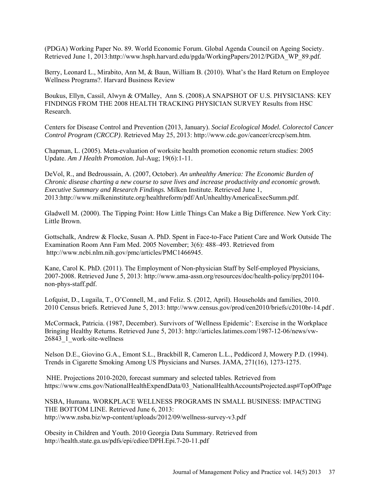(PDGA) Working Paper No. 89. World Economic Forum. Global Agenda Council on Ageing Society. Retrieved June 1, 2013[:http://www.hsph.harvard.edu/pgda/WorkingPapers/2012/PGDA\\_WP\\_89.pdf.](http://www.hsph.harvard.edu/pgda/WorkingPapers/2012/PGDA_WP_89.pdf)

Berry, Leonard L., Mirabito, Ann M, & Baun, William B. (2010). What's the Hard Return on Employee Wellness Programs?. Harvard Business Review

Boukus, Ellyn, Cassil, Alwyn & O'Malley, Ann S. (2008).A SNAPSHOT OF U.S. PHYSICIANS: KEY FINDINGS FROM THE 2008 HEALTH TRACKING PHYSICIAN SURVEY Results from HSC Research.

Centers for Disease Control and Prevention (2013, January). *Social Ecological Model. Colorectol Cancer Control Program (CRCCP)*. Retrieved May 25, 2013: [http://www.cdc.gov/cancer/crccp/sem.htm.](http://www.cdc.gov/cancer/crccp/sem.htm)

Chapman, L. (2005). Meta-evaluation of worksite health promotion economic return studies: 2005 Update. *Am J Health Promotion.* Jul-Aug; 19(6):1-11.

DeVol, R., and Bedroussain, A. (2007, October). *An unhealthy America: The Economic Burden of Chronic disease charting a new course to save lives and increase productivity and economic growth. Executive Summary and Research Findings.* Milken Institute. Retrieved June 1, 2013[:http://www.milkeninstitute.org/healthreform/pdf/AnUnhealthyAmericaExecSumm.pdf.](http://www.milkeninstitute.org/healthreform/pdf/AnUnhealthyAmericaExecSumm.pdf)

Gladwell M. (2000). The Tipping Point: How Little Things Can Make a Big Difference. New York City: Little Brown.

Gottschalk, Andrew & Flocke, Susan A. PhD. Spent in Face-to-Face Patient Care and Work Outside The Examination Room Ann Fam Med. 2005 November; 3(6): 488–493. Retrieved from [http://www.ncbi.nlm.nih.gov/pmc/articles/PMC1466945.](http://www.ncbi.nlm.nih.gov/pmc/articles/PMC1466945)

Kane, Carol K. PhD. (2011). The Employment of Non-physician Staff by Self-employed Physicians, 2007-2008. Retrieved June 5, 2013: [http://www.ama-assn.org/resources/doc/health-policy/prp201104](http://www.ama-assn.org/resources/doc/health-policy/prp201104-non-phys-staff.pdf) non-phys-staff.pdf.

Lofquist, D., Lugaila, T., O'Connell, M., and Feliz. S. (2012, April). Households and families, 2010. 2010 Census briefs. Retrieved June 5, 2013: [http://www.census.gov/prod/cen2010/briefs/c2010br-14.pdf .](http://www.census.gov/prod/cen2010/briefs/c2010br-14.pdf)

McCormack, Patricia. (1987, December). Survivors of 'Wellness Epidemic': Exercise in the Workplace Bringing Healthy Returns. Retrieved June 5, 2013: [http://articles.latimes.com/1987-12-06/news/vw-](http://articles.latimes.com/1987-12-06/news/vw-26843_1_work-site-wellness)[26843\\_1\\_work-site-wellness](http://articles.latimes.com/1987-12-06/news/vw-26843_1_work-site-wellness)

Nelson D.E., Giovino G.A., Emont S.L., Brackbill R, Cameron L.L., Peddicord J, Mowery P.D. (1994). Trends in Cigarette Smoking Among US Physicians and Nurses. JAMA, 271(16), 1273-1275.

NHE. Projections 2010-2020, forecast summary and selected tables. Retrieved from [https://www.cms.gov/NationalHealthExpendData/03\\_NationalHealthAccountsProjected.](https://www.cms.gov/NationalHealthExpendData/03_NationalHealthAccountsProjected)asp#TopOfPage

NSBA, Humana. WORKPLACE WELLNESS PROGRAMS IN SMALL BUSINESS: IMPACTING THE BOTTOM LINE. Retrieved June 6, 2013: <http://www.nsba.biz/wp-content/uploads/2012/09/wellness-survey-v3.pdf>

Obesity in Children and Youth. 2010 Georgia Data Summary. Retrieved from <http://health.state.ga.us/pdfs/epi/cdiee/DPH.Epi.7-20-11.pdf>